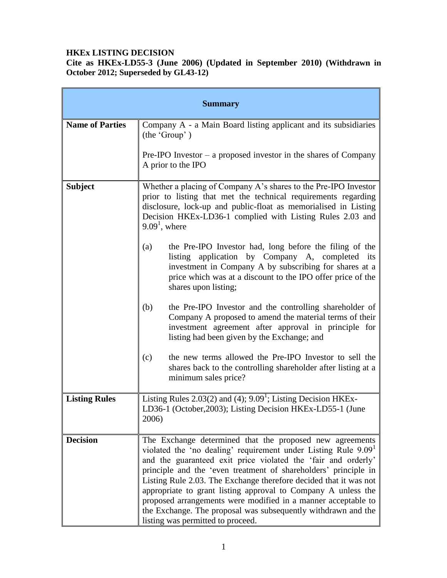#### **HKEx LISTING DECISION**

**Cite as HKEx-LD55-3 (June 2006) (Updated in September 2010) (Withdrawn in October 2012; Superseded by GL43-12)**

| <b>Summary</b>         |                                                                                                                                                                                                                                                                                                                                                                                                                                                                                                                                                                                         |
|------------------------|-----------------------------------------------------------------------------------------------------------------------------------------------------------------------------------------------------------------------------------------------------------------------------------------------------------------------------------------------------------------------------------------------------------------------------------------------------------------------------------------------------------------------------------------------------------------------------------------|
| <b>Name of Parties</b> | Company A - a Main Board listing applicant and its subsidiaries<br>(the 'Group')                                                                                                                                                                                                                                                                                                                                                                                                                                                                                                        |
|                        | $Pre-IPO$ Investor – a proposed investor in the shares of Company<br>A prior to the IPO                                                                                                                                                                                                                                                                                                                                                                                                                                                                                                 |
| <b>Subject</b>         | Whether a placing of Company A's shares to the Pre-IPO Investor<br>prior to listing that met the technical requirements regarding<br>disclosure, lock-up and public-float as memorialised in Listing<br>Decision HKEx-LD36-1 complied with Listing Rules 2.03 and<br>$9.091$ , where                                                                                                                                                                                                                                                                                                    |
|                        | the Pre-IPO Investor had, long before the filing of the<br>(a)<br>listing application by Company A, completed its<br>investment in Company A by subscribing for shares at a<br>price which was at a discount to the IPO offer price of the<br>shares upon listing;                                                                                                                                                                                                                                                                                                                      |
|                        | (b)<br>the Pre-IPO Investor and the controlling shareholder of<br>Company A proposed to amend the material terms of their<br>investment agreement after approval in principle for<br>listing had been given by the Exchange; and                                                                                                                                                                                                                                                                                                                                                        |
|                        | the new terms allowed the Pre-IPO Investor to sell the<br>(c)<br>shares back to the controlling shareholder after listing at a<br>minimum sales price?                                                                                                                                                                                                                                                                                                                                                                                                                                  |
| <b>Listing Rules</b>   | Listing Rules $2.03(2)$ and $(4)$ ; $9.091$ ; Listing Decision HKEx-<br>LD36-1 (October, 2003); Listing Decision HKEx-LD55-1 (June<br>2006)                                                                                                                                                                                                                                                                                                                                                                                                                                             |
| <b>Decision</b>        | The Exchange determined that the proposed new agreements<br>violated the 'no dealing' requirement under Listing Rule 9.09 <sup>1</sup><br>and the guaranteed exit price violated the 'fair and orderly'<br>principle and the 'even treatment of shareholders' principle in<br>Listing Rule 2.03. The Exchange therefore decided that it was not<br>appropriate to grant listing approval to Company A unless the<br>proposed arrangements were modified in a manner acceptable to<br>the Exchange. The proposal was subsequently withdrawn and the<br>listing was permitted to proceed. |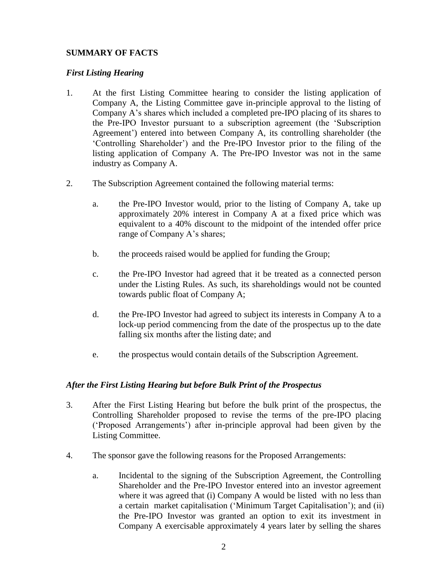## **SUMMARY OF FACTS**

#### *First Listing Hearing*

- 1. At the first Listing Committee hearing to consider the listing application of Company A, the Listing Committee gave in-principle approval to the listing of Company A's shares which included a completed pre-IPO placing of its shares to the Pre-IPO Investor pursuant to a subscription agreement (the 'Subscription Agreement') entered into between Company A, its controlling shareholder (the 'Controlling Shareholder') and the Pre-IPO Investor prior to the filing of the listing application of Company A. The Pre-IPO Investor was not in the same industry as Company A.
- 2. The Subscription Agreement contained the following material terms:
	- a. the Pre-IPO Investor would, prior to the listing of Company A, take up approximately 20% interest in Company A at a fixed price which was equivalent to a 40% discount to the midpoint of the intended offer price range of Company A's shares;
	- b. the proceeds raised would be applied for funding the Group;
	- c. the Pre-IPO Investor had agreed that it be treated as a connected person under the Listing Rules. As such, its shareholdings would not be counted towards public float of Company A;
	- d. the Pre-IPO Investor had agreed to subject its interests in Company A to a lock-up period commencing from the date of the prospectus up to the date falling six months after the listing date; and
	- e. the prospectus would contain details of the Subscription Agreement.

#### *After the First Listing Hearing but before Bulk Print of the Prospectus*

- 3. After the First Listing Hearing but before the bulk print of the prospectus, the Controlling Shareholder proposed to revise the terms of the pre-IPO placing ('Proposed Arrangements') after in-principle approval had been given by the Listing Committee.
- 4. The sponsor gave the following reasons for the Proposed Arrangements:
	- a. Incidental to the signing of the Subscription Agreement, the Controlling Shareholder and the Pre-IPO Investor entered into an investor agreement where it was agreed that (i) Company A would be listed with no less than a certain market capitalisation ('Minimum Target Capitalisation'); and (ii) the Pre-IPO Investor was granted an option to exit its investment in Company A exercisable approximately 4 years later by selling the shares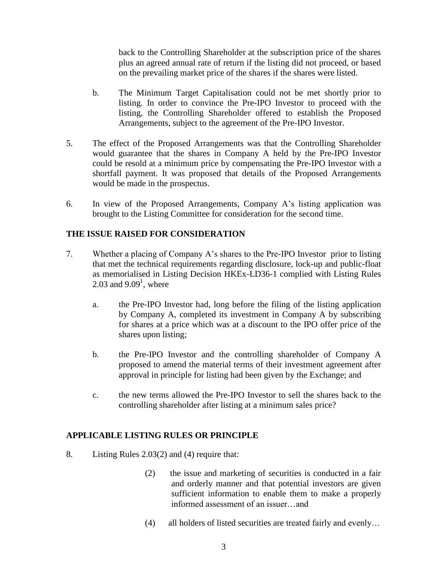back to the Controlling Shareholder at the subscription price of the shares plus an agreed annual rate of return if the listing did not proceed, or based on the prevailing market price of the shares if the shares were listed.

- b. The Minimum Target Capitalisation could not be met shortly prior to listing. In order to convince the Pre-IPO Investor to proceed with the listing, the Controlling Shareholder offered to establish the Proposed Arrangements, subject to the agreement of the Pre-IPO Investor.
- 5. The effect of the Proposed Arrangements was that the Controlling Shareholder would guarantee that the shares in Company A held by the Pre-IPO Investor could be resold at a minimum price by compensating the Pre-IPO Investor with a shortfall payment. It was proposed that details of the Proposed Arrangements would be made in the prospectus.
- 6. In view of the Proposed Arrangements, Company A's listing application was brought to the Listing Committee for consideration for the second time.

## **THE ISSUE RAISED FOR CONSIDERATION**

- 7. Whether a placing of Company A's shares to the Pre-IPO Investor prior to listing that met the technical requirements regarding disclosure, lock-up and public-float as memorialised in Listing Decision HKEx-LD36-1 complied with Listing Rules 2.03 and  $9.09<sup>1</sup>$ , where
	- a. the Pre-IPO Investor had, long before the filing of the listing application by Company A, completed its investment in Company A by subscribing for shares at a price which was at a discount to the IPO offer price of the shares upon listing;
	- b. the Pre-IPO Investor and the controlling shareholder of Company A proposed to amend the material terms of their investment agreement after approval in principle for listing had been given by the Exchange; and
	- c. the new terms allowed the Pre-IPO Investor to sell the shares back to the controlling shareholder after listing at a minimum sales price?

## **APPLICABLE LISTING RULES OR PRINCIPLE**

- 8. Listing Rules 2.03(2) and (4) require that:
	- (2) the issue and marketing of securities is conducted in a fair and orderly manner and that potential investors are given sufficient information to enable them to make a properly informed assessment of an issuer…and
	- (4) all holders of listed securities are treated fairly and evenly…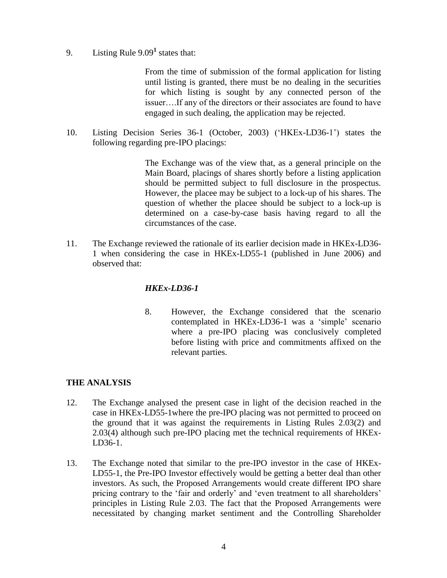9. Listing Rule 9.09**<sup>1</sup>** states that:

 From the time of submission of the formal application for listing until listing is granted, there must be no dealing in the securities for which listing is sought by any connected person of the issuer….If any of the directors or their associates are found to have engaged in such dealing, the application may be rejected.

10. Listing Decision Series 36-1 (October, 2003) ('HKEx-LD36-1') states the following regarding pre-IPO placings:

> The Exchange was of the view that, as a general principle on the Main Board, placings of shares shortly before a listing application should be permitted subject to full disclosure in the prospectus. However, the placee may be subject to a lock-up of his shares. The question of whether the placee should be subject to a lock-up is determined on a case-by-case basis having regard to all the circumstances of the case.

11. The Exchange reviewed the rationale of its earlier decision made in HKEx-LD36- 1 when considering the case in HKEx-LD55-1 (published in June 2006) and observed that:

# *HKEx-LD36-1*

8. However, the Exchange considered that the scenario contemplated in HKEx-LD36-1 was a 'simple' scenario where a pre-IPO placing was conclusively completed before listing with price and commitments affixed on the relevant parties.

## **THE ANALYSIS**

- 12. The Exchange analysed the present case in light of the decision reached in the case in HKEx-LD55-1where the pre-IPO placing was not permitted to proceed on the ground that it was against the requirements in Listing Rules 2.03(2) and 2.03(4) although such pre-IPO placing met the technical requirements of HKEx-LD36-1.
- 13. The Exchange noted that similar to the pre-IPO investor in the case of HKEx-LD55-1, the Pre-IPO Investor effectively would be getting a better deal than other investors. As such, the Proposed Arrangements would create different IPO share pricing contrary to the 'fair and orderly' and 'even treatment to all shareholders' principles in Listing Rule 2.03. The fact that the Proposed Arrangements were necessitated by changing market sentiment and the Controlling Shareholder